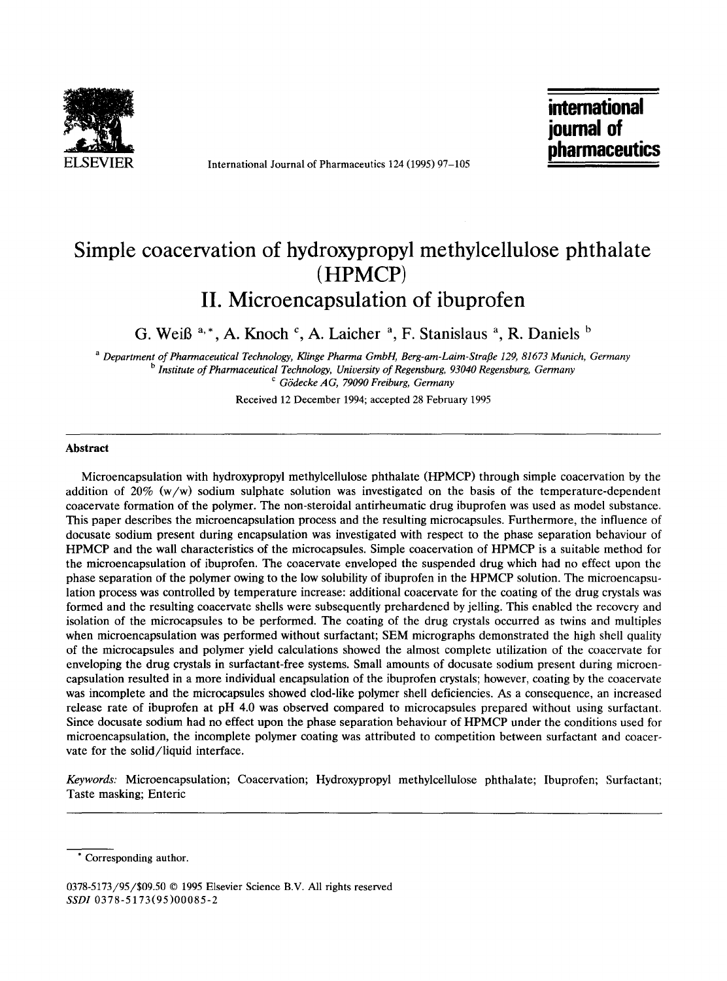

**ELSEVIER** International Journal of Pharmaceutics 124 (1995) 97-105

**international journal of pharmaceutics** 

# **Simple coacervation of hydroxypropyl methylcellulose phthalate (HPMCP) II. Microencapsulation of ibuprofen**

G. Weiß  $a^*$ , A. Knoch  $c^*$ , A. Laicher  $a^*$ , F. Stanislaus  $a^*$ , R. Daniels  $b^*$ 

*a Department of Pharmaceutical Technology, Klinge Pharma GmbH, Berg-am-Laim-Strafle 129, 81673 Munich, Germany b Institute of Pharmaceutical Technology, University of Regensburg, 93040 Regensburg, Germany c G6decke AG, 79090 Freiburg, Germany* 

Received 12 December 1994; accepted 28 February 1995

#### **Abstract**

Microencapsulation with hydroxypropyl methylcellulose phthalate (HPMCP) through simple coacervation by the addition of 20% (w/w) sodium sulphate solution was investigated on the basis of the temperature-dependent coacervate formation of the polymer. The non-steroidal antirheumatic drug ibuprofen was used as model substance. This paper describes the microencapsulation process and the resulting microcapsules. Furthermore, the influence of docusate sodium present during encapsulation was investigated with respect to the phase separation behaviour of HPMCP and the wall characteristics of the microcapsules. Simple coacervation of HPMCP is a suitable method for the microencapsulation of ibuprofen. The coacervate enveloped the suspended drug which had no effect upon the phase separation of the polymer owing to the low solubility of ibuprofen in the HPMCP solution. The microencapsulation process was controlled by temperature increase: additional coacervate for the coating of the drug crystals was formed and the resulting coacervate shells were subsequently prehardened by jelling. This enabled the recovery and isolation of the microcapsules to be performed. The coating of the drug crystals occurred as twins and multiples when microencapsulation was performed without surfactant; SEM micrographs demonstrated the high shell quality of the microcapsules and polymer yield calculations showed the almost complete utilization of the coacervate for enveloping the drug crystals in surfactant-free systems. Small amounts of docusate sodium present during microencapsulation resulted in a more individual encapsulation of the ibuprofen crystals; however, coating by the coacervate was incomplete and the microcapsules showed clod-like polymer shell deficiencies. As a consequence, an increased release rate of ibuprofen at pH 4.0 was observed compared to microcapsules prepared without using surfactant. Since docusate sodium had no effect upon the phase separation behaviour of HPMCP under the conditions used for microencapsulation, the incomplete polymer coating was attributed to competition between surfactant and coacervate for the solid/liquid interface.

*Keywords:* Microencapsulation; Coacervation; Hydroxypropyl methylcellulose phthalate; Ibuprofen; Surfactant; Taste masking; Enteric

0378-5173/95/\$09.50 © 1995 Elsevier Science B.V. All rights reserved *SSDI* 0378-5173(95)00085-2

Corresponding author.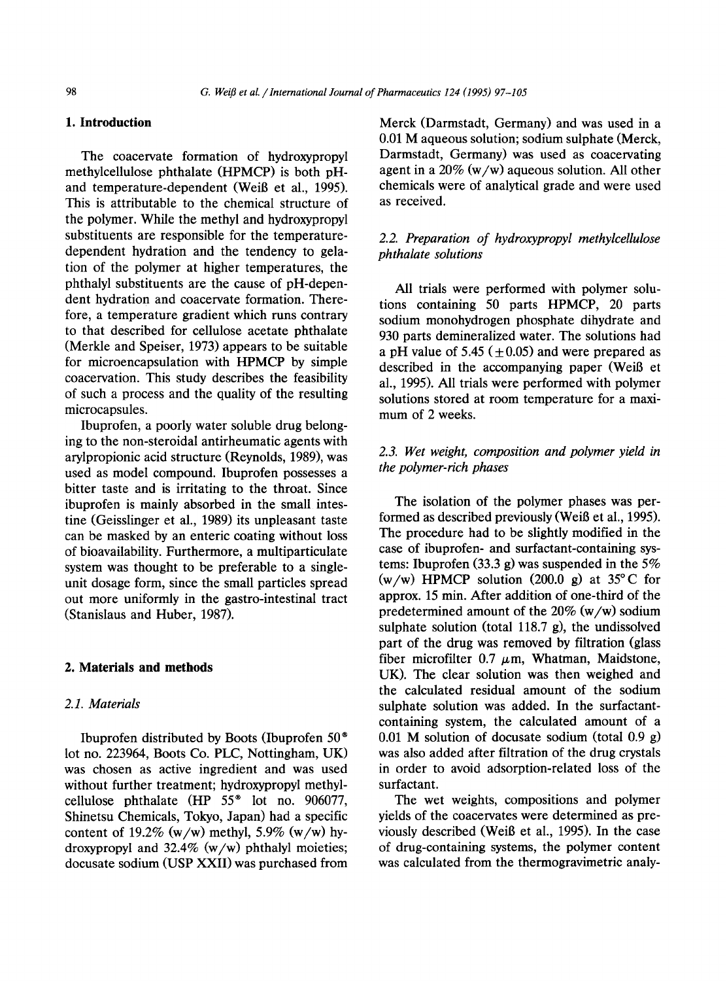## **1. Introduction**

The coacervate formation of hydroxypropyl methylcellulose phthalate (HPMCP) is both pHand temperature-dependent (Weiß et al., 1995). This is attributable to the chemical structure of the polymer. While the methyl and hydroxypropyl substituents are responsible for the temperaturedependent hydration and the tendency to gelation of the polymer at higher temperatures, the phthalyl substituents are the cause of pH-dependent hydration and coacervate formation. Therefore, a temperature gradient which runs contrary to that described for cellulose acetate phthalate (Merkle and Speiser, 1973) appears to be suitable for microencapsulation with HPMCP by simple coacervation. This study describes the feasibility of such a process and the quality of the resulting microcapsules.

Ibuprofen, a poorly water soluble drug belonging to the non-steroidal antirheumatic agents with arylpropionic acid structure (Reynolds, 1989), was used as model compound. Ibuprofen possesses a bitter taste and is irritating to the throat. Since ibuprofen is mainly absorbed in the small intestine (Geisslinger et al., 1989) its unpleasant taste can be masked by an enteric coating without loss of bioavailability. Furthermore, a multiparticulate system was thought to be preferable to a singleunit dosage form, since the small particles spread out more uniformly in the gastro-intestinal tract (Stanislaus and Huber, 1987).

#### **2. Materials and methods**

# *2.1. Materials*

Ibuprofen distributed by Boots (Ibuprofen 50 ® lot no. 223964, Boots Co. PLC, Nottingham, UK) was chosen as active ingredient and was used without further treatment; hydroxypropyl methylcellulose phthalate  $(HP 55<sup>®</sup>$  lot no. 906077, Shinetsu Chemicals, Tokyo, Japan) had a specific content of 19.2% (w/w) methyl, 5.9% (w/w) hydroxypropyl and 32.4% (w/w) phthalyl moieties; docusate sodium (USP XXII) was purchased from

Merck (Darmstadt, Germany) and was used in a 0.01 M aqueous solution; sodium sulphate (Merck, Darmstadt, Germany) was used as coacervating agent in a  $20\%$  (w/w) aqueous solution. All other chemicals were of analytical grade and were used as received.

# *2.2. Preparation of hydroxypropyl methylcellulose phthalate solutions*

All trials were performed with polymer solutions containing 50 parts HPMCP, 20 parts sodium monohydrogen phosphate dihydrate and 930 parts demineralized water. The solutions had a pH value of 5.45 ( $\pm$ 0.05) and were prepared as described in the accompanying paper (WeiB et al., 1995). All trials were performed with polymer solutions stored at room temperature for a maximum of 2 weeks.

# *2.3. Wet weight, composition and polymer yield in the polymer-rich phases*

The isolation of the polymer phases was performed as described previously (Weiß et al., 1995). The procedure had to be slightly modified in the case of ibuprofen- and surfactant-containing systems: Ibuprofen (33.3 g) was suspended in the 5%  $(w/w)$  HPMCP solution (200.0 g) at 35 $\degree$ C for approx. 15 min. After addition of one-third of the predetermined amount of the  $20\%$  (w/w) sodium sulphate solution (total 118.7 g), the undissolved part of the drug was removed by filtration (glass fiber microfilter 0.7  $\mu$ m, Whatman, Maidstone, UK). The clear solution was then weighed and the calculated residual amount of the sodium sulphate solution was added. In the surfactantcontaining system, the calculated amount of a 0.01 M solution of docusate sodium (total 0.9 g) was also added after filtration of the drug crystals in order to avoid adsorption-related loss of the surfactant.

The wet weights, compositions and polymer yields of the coacervates were determined as previously described (Weiß et al., 1995). In the case of drug-containing systems, the polymer content was calculated from the thermogravimetric analy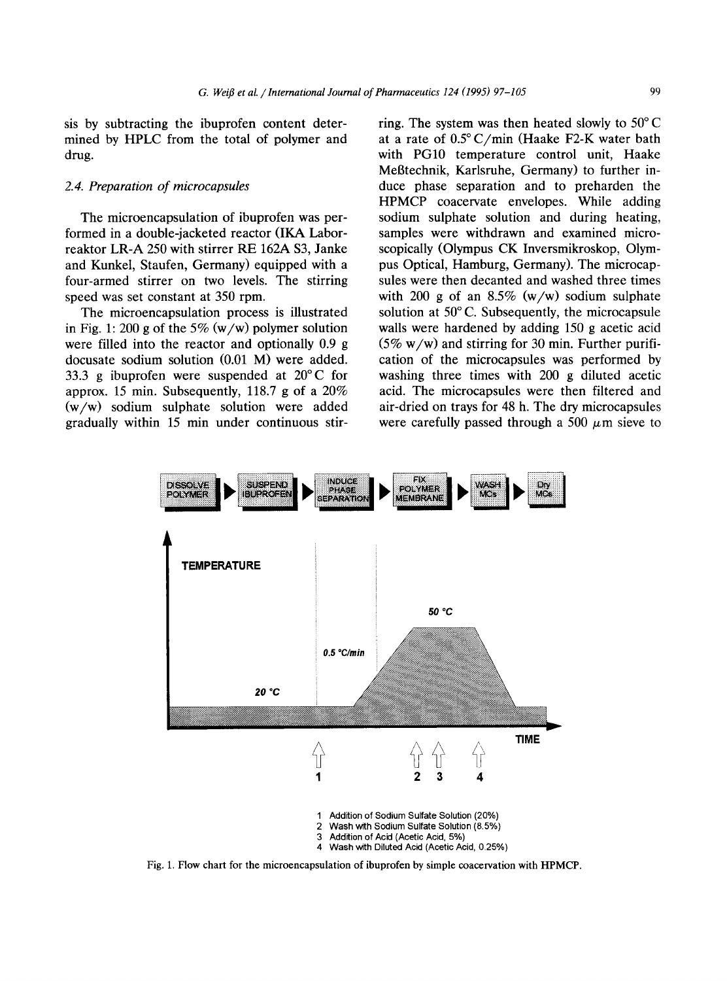sis by subtracting the ibuprofen content determined by HPLC from the total of polymer and drug.

# *2.4. Preparation of microcapsules*

The microencapsulation of ibuprofen was performed in a double-jacketed reactor (IKA Laborreaktor LR-A 250 with stirrer RE 162A \$3, Janke and Kunkel, Staufen, Germany) equipped with a four-armed stirrer on two levels. The stirring speed was set constant at 350 rpm.

The microencapsulation process is illustrated in Fig. 1:200 g of the 5%  $(w/w)$  polymer solution were filled into the reactor and optionally 0.9 g docusate sodium solution  $(0.01 \text{ M})$  were added. 33.3 g ibuprofen were suspended at 20°C for approx. 15 min. Subsequently, 118.7 g of a 20% (w/w) sodium sulphate solution were added gradually within 15 min under continuous stirring. The system was then heated slowly to  $50^{\circ}$ C at a rate of  $0.5^{\circ}$  C/min (Haake F2-K water bath with PG10 temperature control unit, Haake Meßtechnik, Karlsruhe, Germany) to further induce phase separation and to preharden the HPMCP coacervate envelopes. While adding sodium sulphate solution and during heating, samples were withdrawn and examined microscopically (Olympus CK Inversmikroskop, Olympus Optical, Hamburg, Germany). The microcapsules were then decanted and washed three times with 200 g of an  $8.5\%$  (w/w) sodium sulphate solution at  $50^{\circ}$  C. Subsequently, the microcapsule walls were hardened by adding 150 g acetic acid  $(5\% \text{ w/w})$  and stirring for 30 min. Further purification of the microcapsules was performed by washing three times with 200 g diluted acetic acid. The microcapsules were then filtered and air-dried on trays for 48 h. The dry microcapsules were carefully passed through a 500  $\mu$ m sieve to



Fig. 1. Flow chart for the microencapsulation of ibuprofen by simple coacervation with HPMCP.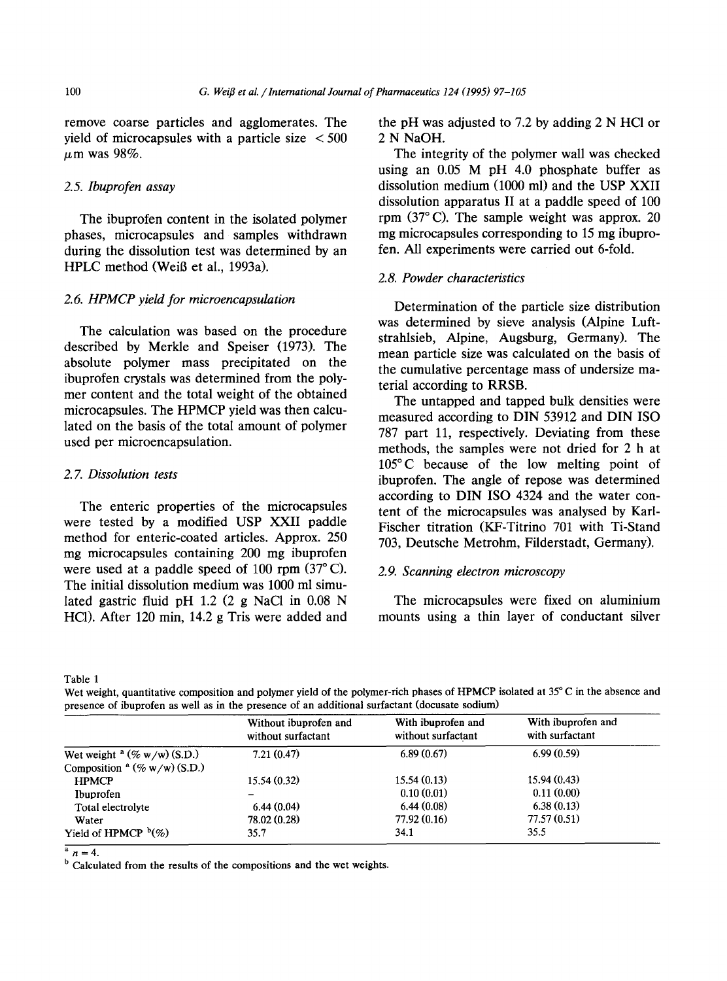remove coarse particles and agglomerates. The yield of microcapsules with a particle size  $\leq 500$  $\mu$ m was 98%.

# *2.5. Ibuprofen assay*

The ibuprofen content in the isolated polymer phases, microcapsules and samples withdrawn during the dissolution test was determined by an HPLC method (Weiß et al., 1993a).

# *2.6. HPMCP yield for microencapsulation*

The calculation was based on the procedure described by Merkle and Speiser (1973). The absolute polymer mass precipitated on the ibuprofen crystals was determined from the polymer content and the total weight of the obtained microcapsules. The HPMCP yield was then calculated on the basis of the total amount of polymer used per microencapsulation.

#### *2. 7. Dissolution tests*

The enteric properties of the microcapsules were tested by a modified USP XXII paddle method for enteric-coated articles. Approx. 250 mg microcapsules containing 200 mg ibuprofen were used at a paddle speed of  $100$  rpm  $(37^{\circ}$  C). The initial dissolution medium was 1000 ml simulated gastric fluid pH 1.2 (2 g NaCI in 0.08 N HC1). After 120 min, 14.2 g Tris were added and

the pH was adjusted to 7.2 by adding 2 N HCI or 2 N NaOH.

The integrity of the polymer wall was checked using an 0.05 M pH 4.0 phosphate buffer as dissolution medium (1000 ml) and the USP XXII dissolution apparatus II at a paddle speed of 100 rpm  $(37^{\circ}$  C). The sample weight was approx. 20 mg microcapsules corresponding to 15 mg ibuprofen. All experiments were carried out 6-fold.

## *2.8. Powder characteristics*

Determination of the particle size distribution was determined by sieve analysis (Alpine Luftstrahlsieb, Alpine, Augsburg, Germany). The mean particle size was calculated on the basis of the cumulative percentage mass of undersize material according to RRSB.

The untapped and tapped bulk densities were measured according to DIN 53912 and DIN ISO 787 part 11, respectively. Deviating from these methods, the samples were not dried for 2 h at 105°C because of the low melting point of ibuprofen. The angle of repose was determined according to DIN ISO 4324 and the water content of the microcapsules was analysed by Karl-Fischer titration (KF-Titrino 701 with Ti-Stand 703, Deutsche Metrohm, Filderstadt, Germany).

# *2,9. Scanning electron microscopy*

The microcapsules were fixed on aluminium mounts using a thin layer of conductant silver

Table 1

Wet weight, quantitative composition and polymer yield of the polymer-rich phases of HPMCP isolated at 35°C in the absence and presence of ibuprofen as well as in the presence of an additional surfactant (docusate sodium)

|                                     | Without ibuprofen and<br>without surfactant | With ibuprofen and<br>without surfactant | With ibuprofen and<br>with surfactant |
|-------------------------------------|---------------------------------------------|------------------------------------------|---------------------------------------|
| Wet weight $a$ (% w/w) (S.D.)       | 7.21(0.47)                                  | 6.89(0.67)                               | 6.99(0.59)                            |
| Composition $\alpha$ (% w/w) (S.D.) |                                             |                                          |                                       |
| <b>HPMCP</b>                        | 15.54(0.32)                                 | 15.54(0.13)                              | 15.94(0.43)                           |
| Ibuprofen                           | -                                           | 0.10(0.01)                               | 0.11(0.00)                            |
| Total electrolyte                   | 6.44(0.04)                                  | 6.44(0.08)                               | 6.38(0.13)                            |
| Water                               | 78.02 (0.28)                                | 77.92 (0.16)                             | 77.57 (0.51)                          |
| Yield of HPMCP $b(\%)$              | 35.7                                        | 34.1                                     | 35.5                                  |

 $n = 4$ .

 $<sup>b</sup>$  Calculated from the results of the compositions and the wet weights.</sup>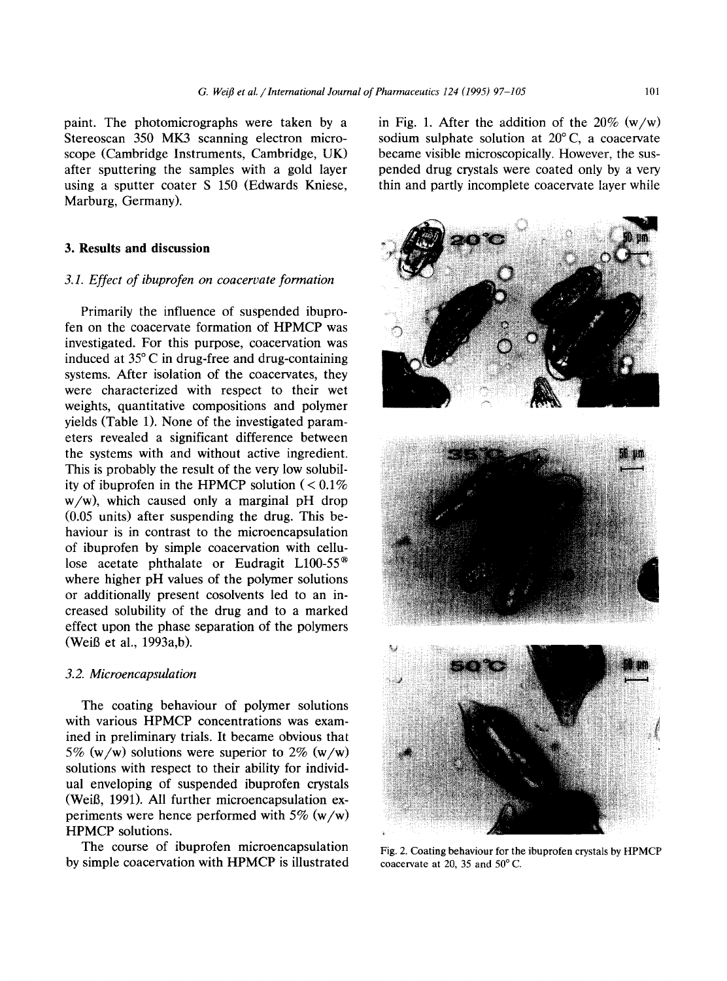paint. The photomicrographs were taken by a Stereoscan 350 MK3 scanning electron microscope (Cambridge Instruments, Cambridge, UK) after sputtering the samples with a gold layer using a sputter coater S 150 (Edwards Kniese, Marburg, Germany).

# **3. Results and discussion**

# *3.1. Effect of ibuprofen on coacervate formation*

Primarily the influence of suspended ibuprofen on the coacervate formation of HPMCP was investigated. For this purpose, coacervation was induced at  $35^{\circ}$ C in drug-free and drug-containing systems. After isolation of the coacervates, they were characterized with respect to their wet weights, quantitative compositions and polymer yields (Table 1). None of the investigated parameters revealed a significant difference between the systems with and without active ingredient. This is probably the result of the very low solubility of ibuprofen in the HPMCP solution  $(< 0.1\%$ w/w), which caused only a marginal pH drop (0.05 units) after suspending the drug. This behaviour is in contrast to the microencapsulation of ibuprofen by simple coacervation with cellulose acetate phthalate or Eudragit L100-55<sup>®</sup> where higher pH values of the polymer solutions or additionally present cosolvents led to an increased solubility of the drug and to a marked effect upon the phase separation of the polymers (WeiB et al., 1993a,b).

# *3.2. Microencapsulation*

The coating behaviour of polymer solutions with various HPMCP concentrations was examined in preliminary trials. It became obvious that 5% (w/w) solutions were superior to 2% (w/w) solutions with respect to their ability for individual enveloping of suspended ibuprofen crystals (WeiB, 1991). All further microencapsulation experiments were hence performed with  $5\%$  (w/w) HPMCP solutions.

The course of ibuprofen microencapsulation by simple coacervation with HPMCP is illustrated in Fig. 1. After the addition of the  $20\%$  (w/w) sodium sulphate solution at  $20^{\circ}$ C, a coacervate became visible microscopically. However, the suspended drug crystals were coated only by a very thin and partly incomplete coacervate layer while



Fig. 2. Coating behaviour for the ibuprofen crystals by HPMCP coacervate at 20, 35 and  $50^{\circ}$  C.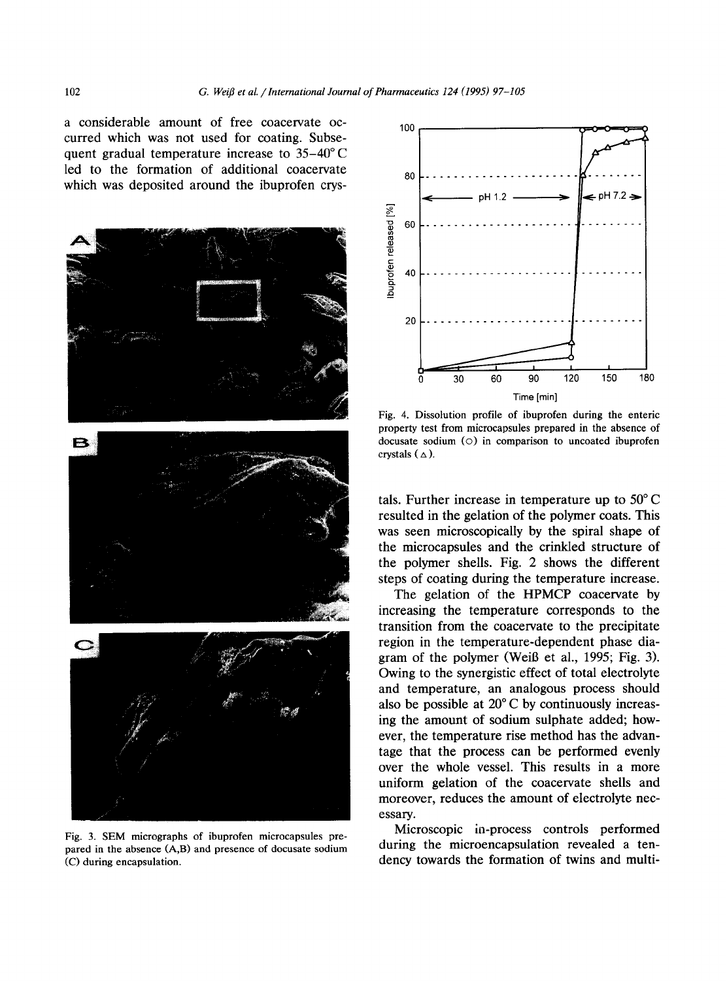a considerable amount of free coacervate occurred which was not used for coating. Subsequent gradual temperature increase to  $35-40^{\circ}$ C led to the formation of additional coacervate which was deposited around the ibuprofen crys-



Fig. 3. SEM micrographs of ibuprofen microcapsules prepared in the absence (A,B) and presence of docusate sodium (C) during encapsulation.



Fig. 4. Dissolution profile of ibuprofen during the enteric property test from microcapsules prepared in the absence of docusate sodium (©) in comparison to uncoated ibuprofen crystals  $(\triangle)$ .

tals. Further increase in temperature up to 50°C resulted in the gelation of the polymer coats. This was seen microscopically by the spiral shape of the microcapsules and the crinkled structure of the polymer shells. Fig. 2 shows the different steps of coating during the temperature increase.

The gelation of the HPMCP coacervate by increasing the temperature corresponds to the transition from the coacervate to the precipitate region in the temperature-dependent phase diagram of the polymer (WeiB et al., 1995; Fig. 3). Owing to the synergistic effect of total electrolyte and temperature, an analogous process should also be possible at 20°C by continuously increasing the amount of sodium sulphate added; however, the temperature rise method has the advantage that the process can be performed evenly over the whole vessel. This results in a more uniform gelation of the coacervate shells and moreover, reduces the amount of electrolyte necessary.

Microscopic in-process controls performed during the microencapsulation revealed a tendency towards the formation of twins and multi-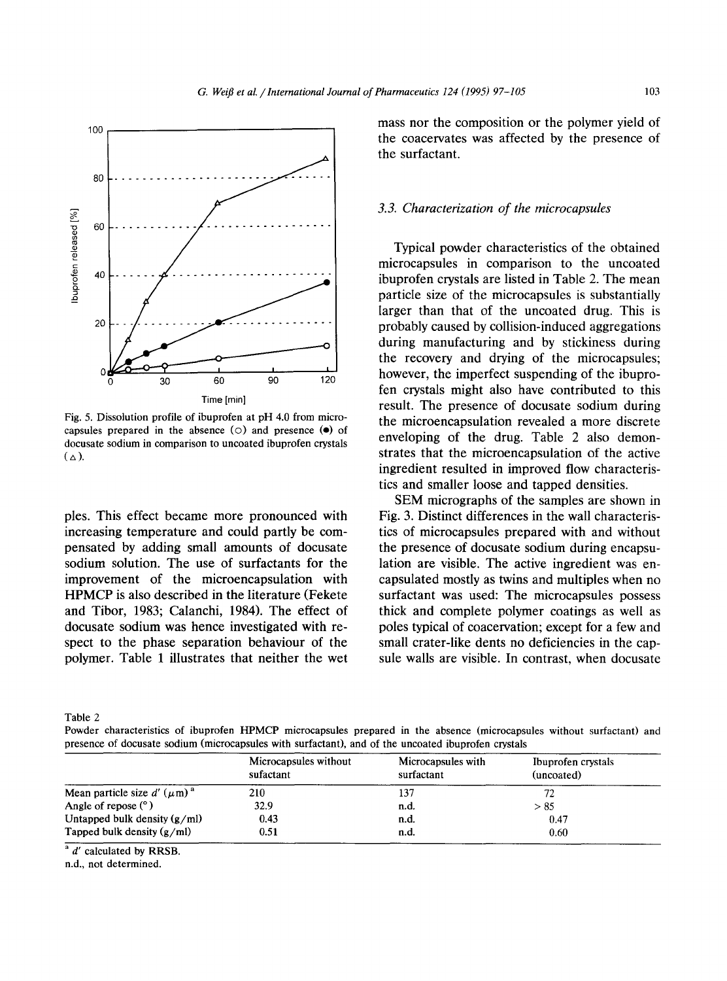

Fig. 5. Dissolution profile of ibuprofen at pH 4.0 from microcapsules prepared in the absence  $(0)$  and presence  $(0)$  of docusate sodium in comparison to uncoated ibuprofen crystals  $(\triangle)$ .

ples. This effect became more pronounced with increasing temperature and could partly be compensated by adding small amounts of docusate sodium solution. The use of surfactants for the improvement of the microencapsulation with HPMCP is also described in the literature (Fekete and Tibor, 1983; Calanchi, 1984), The effect of docusate sodium was hence investigated with respect to the phase separation behaviour of the polymer. Table 1 illustrates that neither the wet mass nor the composition or the polymer yield of the coacervates was affected by the presence of the surfactant.

#### *3.3. Characterization of the microcapsules*

Typical powder characteristics of the obtained microcapsules in comparison to the uncoated ibuprofen crystals are listed in Table 2. The mean particle size of the microcapsules is substantially larger than that of the uncoated drug. This is probably caused by collision-induced aggregations during manufacturing and by stickiness during the recovery and drying of the microcapsules; however, the imperfect suspending of the ibuprofen crystals might also have contributed to this result. The presence of docusate sodium during the microencapsulation revealed a more discrete enveloping of the drug. Table 2 also demonstrates that the microencapsulation of the active ingredient resulted in improved flow characteristics and smaller loose and tapped densities.

SEM micrographs of the samples are shown in Fig. 3. Distinct differences in the wall characteristics of microcapsules prepared with and without the presence of docusate sodium during encapsulation are visible. The active ingredient was encapsulated mostly as twins and multiples when no suffactant was used: The microcapsules possess thick and complete polymer coatings as well as poles typical of coacervation; except for a few and small crater-like dents no deficiencies in the capsule walls are visible. In contrast, when docusate

Table 2

Powder characteristics of ibuprofen HPMCP microcapsules prepared in the absence (microcapsules without suffactant) and presence of docusate sodium (microcapsules with surfactant), and of the uncoated ibuprofen crystals

|                                   | Microcapsules without<br>sufactant | Microcapsules with<br>surfactant | Ibuprofen crystals<br>(uncoated) |
|-----------------------------------|------------------------------------|----------------------------------|----------------------------------|
| Mean particle size d' $(\mu m)^a$ | 210                                | 137                              | 72                               |
| Angle of repose $(°)$             | 32.9                               | n.d.                             | > 85                             |
| Untapped bulk density $(g/ml)$    | 0.43                               | n.d.                             | 0.47                             |
| Tapped bulk density $(g/ml)$      | 0.51                               | n.d.                             | 0.60                             |

 $a/d$  calculated by RRSB.

n.d., not determined.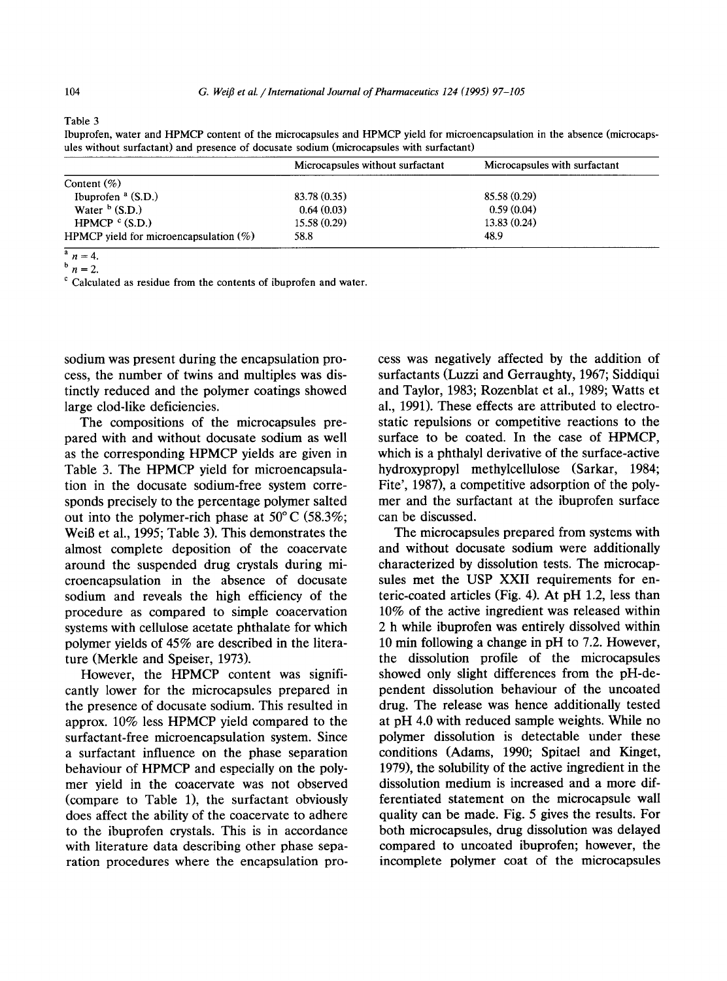Table 3

Ibuprofen, water and HPMCP content of the microcapsules and HPMCP yield for microencapsulation in the absence (microcapsules without surfactant) and presence of docusate sodium (microcapsules with surfactant)

|                                           | Microcapsules without surfactant | Microcapsules with surfactant |
|-------------------------------------------|----------------------------------|-------------------------------|
| Content $(\%)$                            |                                  |                               |
| Ibuprofen $a(S.D.)$                       | 83.78 (0.35)                     | 85.58 (0.29)                  |
| Water $b$ (S.D.)                          | 0.64(0.03)                       | 0.59(0.04)                    |
| HPMCP $C(S.D.)$                           | 15.58 (0.29)                     | 13.83(0.24)                   |
| HPMCP yield for microencapsulation $(\%)$ | 58.8                             | 48.9                          |

 $\frac{a}{n}=4.$  $\frac{b}{n}$  in = 2.

 $\degree$  Calculated as residue from the contents of ibuprofen and water.

sodium was present during the encapsulation process, the number of twins and multiples was distinctly reduced and the polymer coatings showed large clod-like deficiencies.

The compositions of the microcapsules prepared with and without docusate sodium as well as the corresponding HPMCP yields are given in Table 3. The HPMCP yield for microencapsulation in the docusate sodium-free system corresponds precisely to the percentage polymer salted out into the polymer-rich phase at  $50^{\circ}$  C (58.3%; WeiB et al., 1995; Table 3). This demonstrates the almost complete deposition of the coacervate around the suspended drug crystals during microencapsulation in the absence of docusate sodium and reveals the high efficiency of the procedure as compared to simple coacervation systems with cellulose acetate phthalate for which polymer yields of 45% are described in the literature (Merkle and Speiser, 1973).

However, the HPMCP content was significantly lower for the microcapsules prepared in the presence of docusate sodium. This resulted in approx. 10% less HPMCP yield compared to the surfactant-free microencapsulation system. Since a surfactant influence on the phase separation behaviour of HPMCP and especially on the polymer yield in the coacervate was not observed (compare to Table 1), the surfactant obviously does affect the ability of the coacervate to adhere to the ibuprofen crystals. This is in accordance with literature data describing other phase separation procedures where the encapsulation process was negatively affected by the addition of surfactants (Luzzi and Gerraughty, 1967; Siddiqui and Taylor, 1983; Rozenblat et al., 1989; Watts et al., 1991). These effects are attributed to electrostatic repulsions or competitive reactions to the surface to be coated. In the case of HPMCP, which is a phthalyl derivative of the surface-active hydroxypropyl methylcellulose (Sarkar, 1984; Fite', 1987), a competitive adsorption of the polymer and the surfactant at the ibuprofen surface can be discussed.

The microcapsules prepared from systems with and without docusate sodium were additionally characterized by dissolution tests. The microcapsules met the USP XXII requirements for enteric-coated articles (Fig. 4). At pH 1.2, less than 10% of the active ingredient was released within 2 h while ibuprofen was entirely dissolved within 10 min following a change in pH to 7.2. However, the dissolution profile of the microcapsules showed only slight differences from the pH-dependent dissolution behaviour of the uncoated drug. The release was hence additionally tested at pH 4.0 with reduced sample weights. While no polymer dissolution is detectable under these conditions (Adams, 1990; Spitael and Kinget, 1979), the solubility of the active ingredient in the dissolution medium is increased and a more differentiated statement on the microcapsule wall quality can be made. Fig. 5 gives the results. For both microcapsules, drug dissolution was delayed compared to uncoated ibuprofen; however, the incomplete polymer coat of the microcapsules